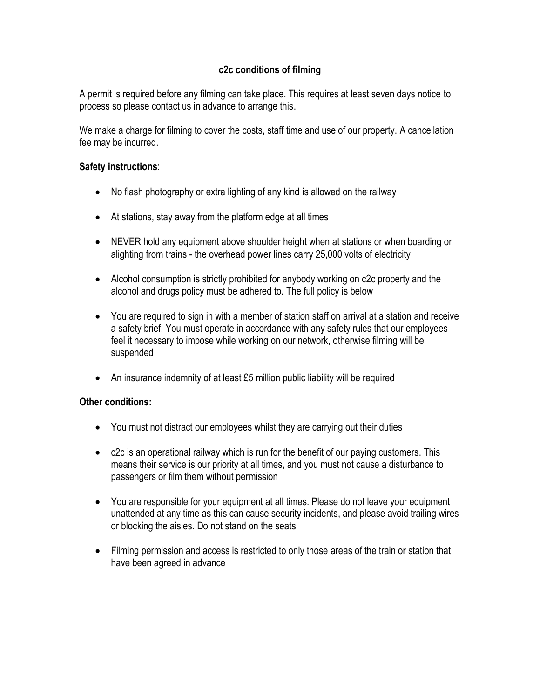### **c2c conditions of filming**

A permit is required before any filming can take place. This requires at least seven days notice to process so please contact us in advance to arrange this.

We make a charge for filming to cover the costs, staff time and use of our property. A cancellation fee may be incurred.

#### **Safety instructions**:

- No flash photography or extra lighting of any kind is allowed on the railway
- At stations, stay away from the platform edge at all times
- NEVER hold any equipment above shoulder height when at stations or when boarding or alighting from trains - the overhead power lines carry 25,000 volts of electricity
- Alcohol consumption is strictly prohibited for anybody working on c2c property and the alcohol and drugs policy must be adhered to. The full policy is below
- You are required to sign in with a member of station staff on arrival at a station and receive a safety brief. You must operate in accordance with any safety rules that our employees feel it necessary to impose while working on our network, otherwise filming will be suspended
- An insurance indemnity of at least £5 million public liability will be required

#### **Other conditions:**

- You must not distract our employees whilst they are carrying out their duties
- c2c is an operational railway which is run for the benefit of our paying customers. This means their service is our priority at all times, and you must not cause a disturbance to passengers or film them without permission
- You are responsible for your equipment at all times. Please do not leave your equipment unattended at any time as this can cause security incidents, and please avoid trailing wires or blocking the aisles. Do not stand on the seats
- Filming permission and access is restricted to only those areas of the train or station that have been agreed in advance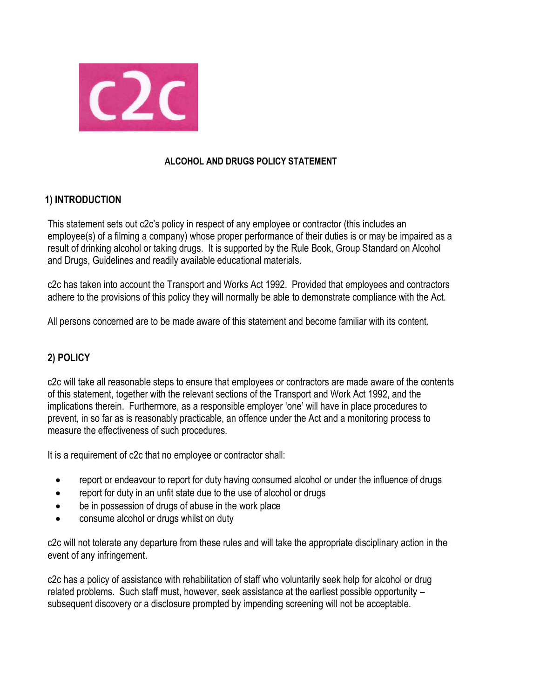

#### **ALCOHOL AND DRUGS POLICY STATEMENT**

## **1) INTRODUCTION**

This statement sets out c2c's policy in respect of any employee or contractor (this includes an employee(s) of a filming a company) whose proper performance of their duties is or may be impaired as a result of drinking alcohol or taking drugs. It is supported by the Rule Book, Group Standard on Alcohol and Drugs, Guidelines and readily available educational materials.

c2c has taken into account the Transport and Works Act 1992. Provided that employees and contractors adhere to the provisions of this policy they will normally be able to demonstrate compliance with the Act.

All persons concerned are to be made aware of this statement and become familiar with its content.

# **2) POLICY**

c2c will take all reasonable steps to ensure that employees or contractors are made aware of the contents of this statement, together with the relevant sections of the Transport and Work Act 1992, and the implications therein. Furthermore, as a responsible employer 'one' will have in place procedures to prevent, in so far as is reasonably practicable, an offence under the Act and a monitoring process to measure the effectiveness of such procedures.

It is a requirement of c2c that no employee or contractor shall:

- report or endeavour to report for duty having consumed alcohol or under the influence of drugs
- report for duty in an unfit state due to the use of alcohol or drugs
- be in possession of drugs of abuse in the work place
- consume alcohol or drugs whilst on duty

c2c will not tolerate any departure from these rules and will take the appropriate disciplinary action in the event of any infringement.

c2c has a policy of assistance with rehabilitation of staff who voluntarily seek help for alcohol or drug related problems. Such staff must, however, seek assistance at the earliest possible opportunity – subsequent discovery or a disclosure prompted by impending screening will not be acceptable.